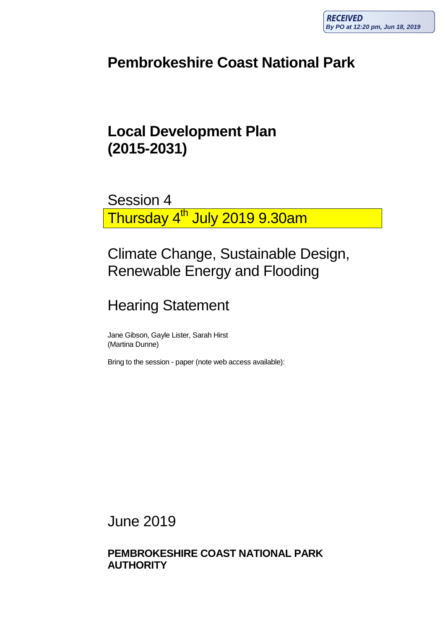# **Pembrokeshire Coast National Park**

# **Local Development Plan (2015-2031)**

Session 4 Thursday 4<sup>th</sup> July 2019 9.30am

# Climate Change, Sustainable Design, Renewable Energy and Flooding

# Hearing Statement

Jane Gibson, Gayle Lister, Sarah Hirst (Martina Dunne)

Bring to the session - paper (note web access available):

June 2019

**PEMBROKESHIRE COAST NATIONAL PARK AUTHORITY**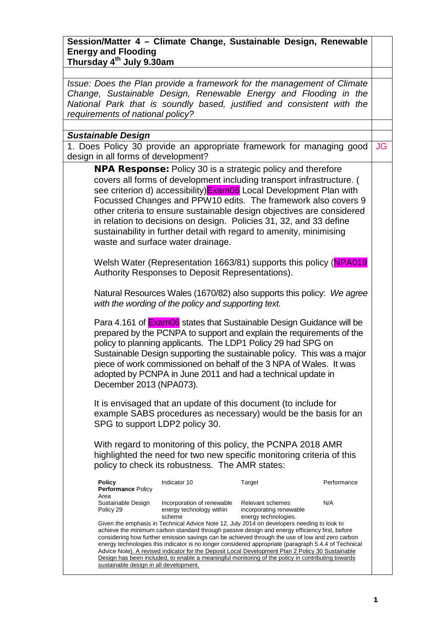### **Session/Matter 4 – Climate Change, Sustainable Design, Renewable Energy and Flooding Thursday 4th July 9.30am**

*Issue: Does the Plan provide a framework for the management of Climate Change, Sustainable Design, Renewable Energy and Flooding in the National Park that is soundly based, justified and consistent with the requirements of national policy?*

#### *Sustainable Design*

1. Does Policy 30 provide an appropriate framework for managing good design in all forms of development? JG

NPA Response: Policy 30 is a strategic policy and therefore covers all forms of development including transport infrastructure. ( see criterion d) accessibility)**Exam06** Local Development Plan with Focussed Changes and PPW10 edits. The framework also covers 9 other criteria to ensure sustainable design objectives are considered in relation to decisions on design. Policies 31, 32, and 33 define sustainability in further detail with regard to amenity, minimising waste and surface water drainage.

Welsh Water (Representation 1663/81) supports this policy (NPA019 Authority Responses to Deposit Representations).

Natural Resources Wales (1670/82) also supports this policy: *We agree with the wording of the policy and supporting text.*

Para 4.161 of **Exam06** states that Sustainable Design Guidance will be prepared by the PCNPA to support and explain the requirements of the policy to planning applicants. The LDP1 Policy 29 had SPG on Sustainable Design supporting the sustainable policy. This was a major piece of work commissioned on behalf of the 3 NPA of Wales. It was adopted by PCNPA in June 2011 and had a technical update in December 2013 (NPA073).

It is envisaged that an update of this document (to include for example SABS procedures as necessary) would be the basis for an SPG to support LDP2 policy 30.

With regard to monitoring of this policy, the PCNPA 2018 AMR highlighted the need for two new specific monitoring criteria of this policy to check its robustness. The AMR states:

| <b>Policy</b>                                                                                        | Indicator 10               | Target                  | Performance |  |
|------------------------------------------------------------------------------------------------------|----------------------------|-------------------------|-------------|--|
| Performance Policy                                                                                   |                            |                         |             |  |
| Area                                                                                                 |                            |                         |             |  |
| Sustainable Design                                                                                   | Incorporation of renewable | Relevant schemes        | N/A         |  |
| Policy 29                                                                                            | energy technology within   | incorporating renewable |             |  |
|                                                                                                      | scheme                     | energy technologies.    |             |  |
| Given the emphasis in Technical Advice Note 12, July 2014 on developers needing to look to           |                            |                         |             |  |
| achieve the minimum carbon standard through passive design and energy efficiency first, before       |                            |                         |             |  |
| considering how further emission savings can be achieved through the use of low and zero carbon      |                            |                         |             |  |
| energy technologies this indicator is no longer considered appropriate (paragraph 5.4.4 of Technical |                            |                         |             |  |
| Advice Note). A revised indicator for the Deposit Local Development Plan 2 Policy 30 Sustainable     |                            |                         |             |  |
| Design has been included, to enable a meaningful monitoring of the policy in contributing towards    |                            |                         |             |  |
| sustainable design in all development.                                                               |                            |                         |             |  |
|                                                                                                      |                            |                         |             |  |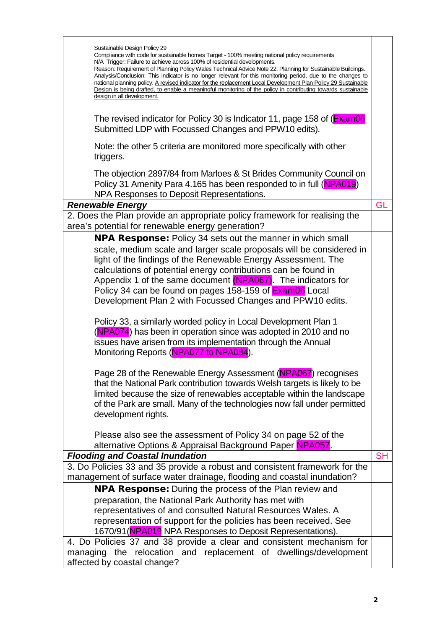| Sustainable Design Policy 29<br>Compliance with code for sustainable homes Target - 100% meeting national policy requirements<br>N/A Trigger: Failure to achieve across 100% of residential developments.<br>Reason: Requirement of Planning Policy Wales Technical Advice Note 22: Planning for Sustainable Buildings.<br>Analysis/Conclusion: This indicator is no longer relevant for this monitoring period, due to the changes to<br>national planning policy. A revised indicator for the replacement Local Development Plan Policy 29 Sustainable<br>Design is being drafted, to enable a meaningful monitoring of the policy in contributing towards sustainable<br>design in all development.<br>The revised indicator for Policy 30 is Indicator 11, page 158 of (Exam06)<br>Submitted LDP with Focussed Changes and PPW10 edits).<br>Note: the other 5 criteria are monitored more specifically with other<br>triggers.<br>The objection 2897/84 from Marloes & St Brides Community Council on<br>Policy 31 Amenity Para 4.165 has been responded to in full (NPA019)<br>NPA Responses to Deposit Representations.<br>GL<br><b>Renewable Energy</b><br>2. Does the Plan provide an appropriate policy framework for realising the<br>area's potential for renewable energy generation? |
|---------------------------------------------------------------------------------------------------------------------------------------------------------------------------------------------------------------------------------------------------------------------------------------------------------------------------------------------------------------------------------------------------------------------------------------------------------------------------------------------------------------------------------------------------------------------------------------------------------------------------------------------------------------------------------------------------------------------------------------------------------------------------------------------------------------------------------------------------------------------------------------------------------------------------------------------------------------------------------------------------------------------------------------------------------------------------------------------------------------------------------------------------------------------------------------------------------------------------------------------------------------------------------------------------|
|                                                                                                                                                                                                                                                                                                                                                                                                                                                                                                                                                                                                                                                                                                                                                                                                                                                                                                                                                                                                                                                                                                                                                                                                                                                                                                   |
|                                                                                                                                                                                                                                                                                                                                                                                                                                                                                                                                                                                                                                                                                                                                                                                                                                                                                                                                                                                                                                                                                                                                                                                                                                                                                                   |
|                                                                                                                                                                                                                                                                                                                                                                                                                                                                                                                                                                                                                                                                                                                                                                                                                                                                                                                                                                                                                                                                                                                                                                                                                                                                                                   |
|                                                                                                                                                                                                                                                                                                                                                                                                                                                                                                                                                                                                                                                                                                                                                                                                                                                                                                                                                                                                                                                                                                                                                                                                                                                                                                   |
|                                                                                                                                                                                                                                                                                                                                                                                                                                                                                                                                                                                                                                                                                                                                                                                                                                                                                                                                                                                                                                                                                                                                                                                                                                                                                                   |
|                                                                                                                                                                                                                                                                                                                                                                                                                                                                                                                                                                                                                                                                                                                                                                                                                                                                                                                                                                                                                                                                                                                                                                                                                                                                                                   |
|                                                                                                                                                                                                                                                                                                                                                                                                                                                                                                                                                                                                                                                                                                                                                                                                                                                                                                                                                                                                                                                                                                                                                                                                                                                                                                   |
|                                                                                                                                                                                                                                                                                                                                                                                                                                                                                                                                                                                                                                                                                                                                                                                                                                                                                                                                                                                                                                                                                                                                                                                                                                                                                                   |
|                                                                                                                                                                                                                                                                                                                                                                                                                                                                                                                                                                                                                                                                                                                                                                                                                                                                                                                                                                                                                                                                                                                                                                                                                                                                                                   |
|                                                                                                                                                                                                                                                                                                                                                                                                                                                                                                                                                                                                                                                                                                                                                                                                                                                                                                                                                                                                                                                                                                                                                                                                                                                                                                   |
|                                                                                                                                                                                                                                                                                                                                                                                                                                                                                                                                                                                                                                                                                                                                                                                                                                                                                                                                                                                                                                                                                                                                                                                                                                                                                                   |
|                                                                                                                                                                                                                                                                                                                                                                                                                                                                                                                                                                                                                                                                                                                                                                                                                                                                                                                                                                                                                                                                                                                                                                                                                                                                                                   |
|                                                                                                                                                                                                                                                                                                                                                                                                                                                                                                                                                                                                                                                                                                                                                                                                                                                                                                                                                                                                                                                                                                                                                                                                                                                                                                   |
|                                                                                                                                                                                                                                                                                                                                                                                                                                                                                                                                                                                                                                                                                                                                                                                                                                                                                                                                                                                                                                                                                                                                                                                                                                                                                                   |
|                                                                                                                                                                                                                                                                                                                                                                                                                                                                                                                                                                                                                                                                                                                                                                                                                                                                                                                                                                                                                                                                                                                                                                                                                                                                                                   |
|                                                                                                                                                                                                                                                                                                                                                                                                                                                                                                                                                                                                                                                                                                                                                                                                                                                                                                                                                                                                                                                                                                                                                                                                                                                                                                   |
|                                                                                                                                                                                                                                                                                                                                                                                                                                                                                                                                                                                                                                                                                                                                                                                                                                                                                                                                                                                                                                                                                                                                                                                                                                                                                                   |
|                                                                                                                                                                                                                                                                                                                                                                                                                                                                                                                                                                                                                                                                                                                                                                                                                                                                                                                                                                                                                                                                                                                                                                                                                                                                                                   |
| <b>NPA Response:</b> Policy 34 sets out the manner in which small                                                                                                                                                                                                                                                                                                                                                                                                                                                                                                                                                                                                                                                                                                                                                                                                                                                                                                                                                                                                                                                                                                                                                                                                                                 |
| scale, medium scale and larger scale proposals will be considered in                                                                                                                                                                                                                                                                                                                                                                                                                                                                                                                                                                                                                                                                                                                                                                                                                                                                                                                                                                                                                                                                                                                                                                                                                              |
| light of the findings of the Renewable Energy Assessment. The                                                                                                                                                                                                                                                                                                                                                                                                                                                                                                                                                                                                                                                                                                                                                                                                                                                                                                                                                                                                                                                                                                                                                                                                                                     |
| calculations of potential energy contributions can be found in                                                                                                                                                                                                                                                                                                                                                                                                                                                                                                                                                                                                                                                                                                                                                                                                                                                                                                                                                                                                                                                                                                                                                                                                                                    |
| Appendix 1 of the same document (NPA067). The indicators for                                                                                                                                                                                                                                                                                                                                                                                                                                                                                                                                                                                                                                                                                                                                                                                                                                                                                                                                                                                                                                                                                                                                                                                                                                      |
| Policy 34 can be found on pages 158-159 of <b>Exam06</b> Local                                                                                                                                                                                                                                                                                                                                                                                                                                                                                                                                                                                                                                                                                                                                                                                                                                                                                                                                                                                                                                                                                                                                                                                                                                    |
| Development Plan 2 with Focussed Changes and PPW10 edits.                                                                                                                                                                                                                                                                                                                                                                                                                                                                                                                                                                                                                                                                                                                                                                                                                                                                                                                                                                                                                                                                                                                                                                                                                                         |
|                                                                                                                                                                                                                                                                                                                                                                                                                                                                                                                                                                                                                                                                                                                                                                                                                                                                                                                                                                                                                                                                                                                                                                                                                                                                                                   |
| Policy 33, a similarly worded policy in Local Development Plan 1                                                                                                                                                                                                                                                                                                                                                                                                                                                                                                                                                                                                                                                                                                                                                                                                                                                                                                                                                                                                                                                                                                                                                                                                                                  |
| (NPA074) has been in operation since was adopted in 2010 and no                                                                                                                                                                                                                                                                                                                                                                                                                                                                                                                                                                                                                                                                                                                                                                                                                                                                                                                                                                                                                                                                                                                                                                                                                                   |
| issues have arisen from its implementation through the Annual                                                                                                                                                                                                                                                                                                                                                                                                                                                                                                                                                                                                                                                                                                                                                                                                                                                                                                                                                                                                                                                                                                                                                                                                                                     |
| Monitoring Reports (NPA077 to NPA084).                                                                                                                                                                                                                                                                                                                                                                                                                                                                                                                                                                                                                                                                                                                                                                                                                                                                                                                                                                                                                                                                                                                                                                                                                                                            |
|                                                                                                                                                                                                                                                                                                                                                                                                                                                                                                                                                                                                                                                                                                                                                                                                                                                                                                                                                                                                                                                                                                                                                                                                                                                                                                   |
| Page 28 of the Renewable Energy Assessment (NPA067) recognises                                                                                                                                                                                                                                                                                                                                                                                                                                                                                                                                                                                                                                                                                                                                                                                                                                                                                                                                                                                                                                                                                                                                                                                                                                    |
| that the National Park contribution towards Welsh targets is likely to be                                                                                                                                                                                                                                                                                                                                                                                                                                                                                                                                                                                                                                                                                                                                                                                                                                                                                                                                                                                                                                                                                                                                                                                                                         |
| limited because the size of renewables acceptable within the landscape                                                                                                                                                                                                                                                                                                                                                                                                                                                                                                                                                                                                                                                                                                                                                                                                                                                                                                                                                                                                                                                                                                                                                                                                                            |
| of the Park are small. Many of the technologies now fall under permitted                                                                                                                                                                                                                                                                                                                                                                                                                                                                                                                                                                                                                                                                                                                                                                                                                                                                                                                                                                                                                                                                                                                                                                                                                          |
| development rights.                                                                                                                                                                                                                                                                                                                                                                                                                                                                                                                                                                                                                                                                                                                                                                                                                                                                                                                                                                                                                                                                                                                                                                                                                                                                               |
|                                                                                                                                                                                                                                                                                                                                                                                                                                                                                                                                                                                                                                                                                                                                                                                                                                                                                                                                                                                                                                                                                                                                                                                                                                                                                                   |
| Please also see the assessment of Policy 34 on page 52 of the                                                                                                                                                                                                                                                                                                                                                                                                                                                                                                                                                                                                                                                                                                                                                                                                                                                                                                                                                                                                                                                                                                                                                                                                                                     |
| alternative Options & Appraisal Background Paper NPA057.                                                                                                                                                                                                                                                                                                                                                                                                                                                                                                                                                                                                                                                                                                                                                                                                                                                                                                                                                                                                                                                                                                                                                                                                                                          |
| <b>Flooding and Coastal Inundation</b><br><b>SH</b>                                                                                                                                                                                                                                                                                                                                                                                                                                                                                                                                                                                                                                                                                                                                                                                                                                                                                                                                                                                                                                                                                                                                                                                                                                               |
| 3. Do Policies 33 and 35 provide a robust and consistent framework for the                                                                                                                                                                                                                                                                                                                                                                                                                                                                                                                                                                                                                                                                                                                                                                                                                                                                                                                                                                                                                                                                                                                                                                                                                        |
| management of surface water drainage, flooding and coastal inundation?                                                                                                                                                                                                                                                                                                                                                                                                                                                                                                                                                                                                                                                                                                                                                                                                                                                                                                                                                                                                                                                                                                                                                                                                                            |
| <b>NPA Response:</b> During the process of the Plan review and                                                                                                                                                                                                                                                                                                                                                                                                                                                                                                                                                                                                                                                                                                                                                                                                                                                                                                                                                                                                                                                                                                                                                                                                                                    |
| preparation, the National Park Authority has met with                                                                                                                                                                                                                                                                                                                                                                                                                                                                                                                                                                                                                                                                                                                                                                                                                                                                                                                                                                                                                                                                                                                                                                                                                                             |
| representatives of and consulted Natural Resources Wales. A                                                                                                                                                                                                                                                                                                                                                                                                                                                                                                                                                                                                                                                                                                                                                                                                                                                                                                                                                                                                                                                                                                                                                                                                                                       |
| representation of support for the policies has been received. See                                                                                                                                                                                                                                                                                                                                                                                                                                                                                                                                                                                                                                                                                                                                                                                                                                                                                                                                                                                                                                                                                                                                                                                                                                 |
| 1670/91 (NPA019 NPA Responses to Deposit Representations).                                                                                                                                                                                                                                                                                                                                                                                                                                                                                                                                                                                                                                                                                                                                                                                                                                                                                                                                                                                                                                                                                                                                                                                                                                        |
| 4. Do Policies 37 and 38 provide a clear and consistent mechanism for                                                                                                                                                                                                                                                                                                                                                                                                                                                                                                                                                                                                                                                                                                                                                                                                                                                                                                                                                                                                                                                                                                                                                                                                                             |
| managing the relocation and replacement of dwellings/development                                                                                                                                                                                                                                                                                                                                                                                                                                                                                                                                                                                                                                                                                                                                                                                                                                                                                                                                                                                                                                                                                                                                                                                                                                  |
| affected by coastal change?                                                                                                                                                                                                                                                                                                                                                                                                                                                                                                                                                                                                                                                                                                                                                                                                                                                                                                                                                                                                                                                                                                                                                                                                                                                                       |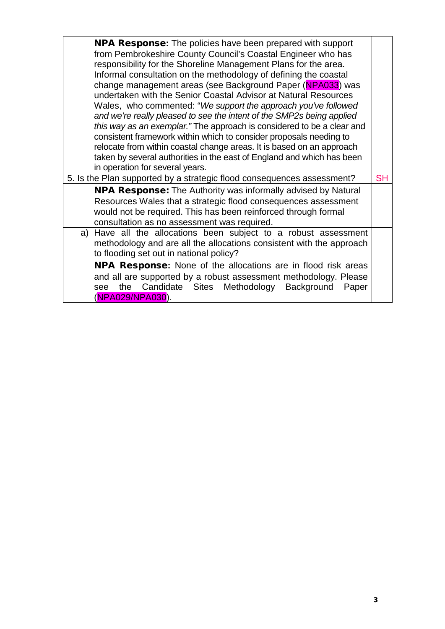| <b>NPA Response:</b> The policies have been prepared with support<br>from Pembrokeshire County Council's Coastal Engineer who has<br>responsibility for the Shoreline Management Plans for the area.<br>Informal consultation on the methodology of defining the coastal<br>change management areas (see Background Paper (NPA033) was<br>undertaken with the Senior Coastal Advisor at Natural Resources<br>Wales, who commented: "We support the approach you've followed<br>and we're really pleased to see the intent of the SMP2s being applied<br>this way as an exemplar." The approach is considered to be a clear and<br>consistent framework within which to consider proposals needing to<br>relocate from within coastal change areas. It is based on an approach<br>taken by several authorities in the east of England and which has been<br>in operation for several years. |  |  |
|--------------------------------------------------------------------------------------------------------------------------------------------------------------------------------------------------------------------------------------------------------------------------------------------------------------------------------------------------------------------------------------------------------------------------------------------------------------------------------------------------------------------------------------------------------------------------------------------------------------------------------------------------------------------------------------------------------------------------------------------------------------------------------------------------------------------------------------------------------------------------------------------|--|--|
| 5. Is the Plan supported by a strategic flood consequences assessment?                                                                                                                                                                                                                                                                                                                                                                                                                                                                                                                                                                                                                                                                                                                                                                                                                     |  |  |
| <b>NPA Response:</b> The Authority was informally advised by Natural<br>Resources Wales that a strategic flood consequences assessment<br>would not be required. This has been reinforced through formal<br>consultation as no assessment was required.                                                                                                                                                                                                                                                                                                                                                                                                                                                                                                                                                                                                                                    |  |  |
| Have all the allocations been subject to a robust assessment<br>a)<br>methodology and are all the allocations consistent with the approach<br>to flooding set out in national policy?                                                                                                                                                                                                                                                                                                                                                                                                                                                                                                                                                                                                                                                                                                      |  |  |
| NPA Response: None of the allocations are in flood risk areas<br>and all are supported by a robust assessment methodology. Please<br>see the Candidate Sites Methodology Background<br>Paper<br>(NPA029/NPA030).                                                                                                                                                                                                                                                                                                                                                                                                                                                                                                                                                                                                                                                                           |  |  |